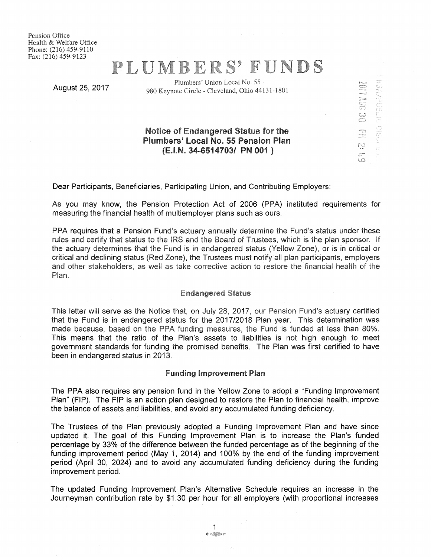Pension Office Health & Welfare Office Phone: (216) 459-9110 Fax: (216) 459-9123

# PLUMBERS' FUNDS

Plumbers' Union Local No. 55 August25, 2017 980 Keynote Circle - Cleveland, Ohio 44131-1801

c-<br>-<br>-<br>-<br>*'* 

externed on the second second second second second second second second second second second second second second second second second second second second second second second second second second second second second sec

t.n.)  $\bigcirc$ 

r,.,  $\mathbb{C}$ 

## Notice of Endangered Status for the Plumbers' Local No. 55 Pension Plan (E.l.N. 34-6514703/ PN 001 )

Dear Participants, Beneficiaries, Participating Union, and Contributing Employers:

As you may know, the Pension Protection Act of 2006 (PPA) instituted requirements for measuring the financial health of multiemployer plans such as ours.

PPA requires that a Pension Fund's actuary annually determine the Fund's status under these rules and certify that status to the IRS and the Board of Trustees, which is the plan sponsor. If the actuary determines that the Fund is in endangered status (Yellow Zone), or is in critical or critical and declining status (Red Zone), the Trustees must notify all plan participants, employers and other stakeholders, as well as take corrective action to restore the financial health of the Plan.

### Endangered Status

This letter will serve as the Notice that, on July 28, 2017, our Pension Fund's actuary certified that the Fund is in endangered status for the 2017/2018 Plan year. This determination was made because, based on the PPA funding measures, the Fund is funded at less than 80%. This means that the ratio of the Plan's assets to liabilities is not high enough to meet government standards for funding the promised benefits. The Plan was first certified to have been in endangered status in 2013.

#### Funding Improvement Plan

The PPA also requires any pension fund in the Yellow Zone to adopt a "Funding Improvement Plan" (FIP). The FIP is an action plan designed to restore the Plan to financial health, improve the balance of assets and liabilities, and avoid any accumulated funding deficiency.

The Trustees of the Plan previously adopted a Funding Improvement Plan and have since updated it. The goal of this Funding Improvement Plan is to increase the Plan's funded percentage by 33% of the difference between the funded percentage as of the beginning of the funding improvement period (May 1, 2014) and 100% by the end of the funding improvement period (April 30, 2024) and to avoid any accumulated funding deficiency during the funding improvement period.

The updated Funding Improvement Plan's Alternative Schedule requires an increase in the Journeyman contribution rate by \$1.30 per hour for all employers (with proportional increases